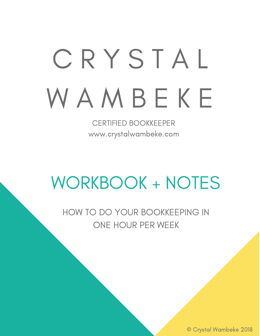# C R Y S T A L **WAMBEKE**

CERTIFIED BOOKKEEPER www.crystalwambeke.com

# WORKBOOK + NOTES

HOW TO DO YOUR BOOKKEEPING IN ONE HOUR PER WEEK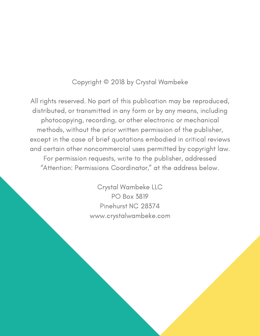#### Copyright © 2018 by Crystal Wambeke

All rights reserved. No part of this publication may be reproduced, distributed, or transmitted in any form or by any means, including photocopying, recording, or other electronic or mechanical methods, without the prior written permission of the publisher, except in the case of brief quotations embodied in critical reviews and certain other noncommercial uses permitted by copyright law. For permission requests, write to the publisher, addressed "Attention: Permissions Coordinator," at the address below.

> Crystal Wambeke LLC PO Box 3819 Pinehurst NC 28374 www.crystalwambeke.com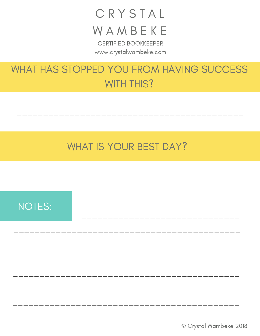## CRYSTAL WAMBEKE

**CERTIFIED BOOKKEEPER** www.crystalwambeke.com

## WHAT HAS STOPPED YOU FROM HAVING SUCCESS **WITH THIS?**

## **WHAT IS YOUR BEST DAY?**

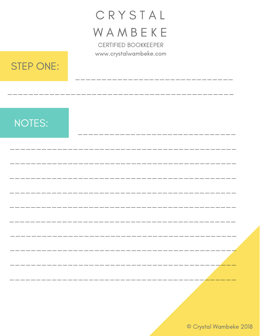# CRYSTAL WAMBEKE

**CERTIFIED BOOKKEEPER** www.crystalwambeke.com



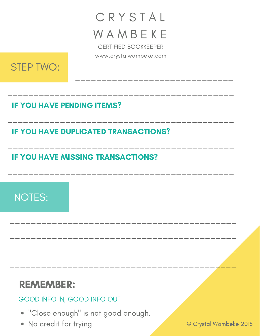# C R Y S T A L **WAMBEKE**

CERTIFIED BOOKKEEPER www.crystalwambeke.com

\_\_\_\_\_\_\_\_\_\_\_\_\_\_\_\_\_\_\_\_\_\_\_\_\_\_\_\_\_\_\_\_\_\_\_\_\_\_\_\_\_\_\_

\_\_\_\_\_\_\_\_\_\_\_\_\_\_\_\_\_\_\_\_\_\_\_\_\_\_\_\_\_\_\_\_\_\_\_\_\_\_\_\_\_\_\_

\_\_\_\_\_\_\_\_\_\_\_\_\_\_\_\_\_\_\_\_\_\_\_\_\_\_\_\_\_\_\_\_\_\_\_\_\_\_\_\_\_\_\_

\_\_\_\_\_\_\_\_\_\_\_\_\_\_\_\_\_\_\_\_\_\_\_\_\_\_\_\_\_\_\_\_\_\_\_\_\_\_\_\_\_\_\_

\_\_\_\_\_\_\_\_\_\_\_\_\_\_\_\_\_\_\_\_\_\_\_\_\_\_\_\_\_\_\_\_\_\_\_\_\_\_\_\_\_\_\_

\_\_\_\_\_\_\_\_\_\_\_\_\_\_\_\_\_\_\_\_\_\_\_\_\_\_\_\_\_\_

\_\_\_\_\_\_\_\_\_\_\_\_\_\_\_\_\_\_\_\_\_\_\_\_\_\_\_\_\_\_

\_\_\_\_\_\_\_\_\_\_\_\_\_\_\_\_\_\_\_\_\_\_\_\_\_\_\_\_\_\_\_\_\_\_\_\_\_\_\_\_\_\_\_

\_\_\_\_\_\_\_\_\_\_\_\_\_\_\_\_\_\_\_\_\_\_\_\_\_\_\_\_\_\_\_\_\_\_\_\_\_\_\_\_\_\_\_

\_\_\_\_\_\_\_\_\_\_\_\_\_\_\_\_\_\_\_\_\_\_\_\_\_\_\_\_\_\_\_\_\_\_\_\_\_\_\_\_\_\_\_



#### IF YOU HAVE PENDING ITEMS?

IF YOU HAVE DUPLICATED TRANSACTIONS?

IF YOU HAVE MISSING TRANSACTIONS?

## NOTES:

## REMEMBER:

#### GOOD INFO IN, GOOD INFO OUT

- "Close enough" is not good enough.
- No credit for trying © Crystal Wambeke 2018  $\begin{array}{c} \bullet \\ \bullet \end{array}$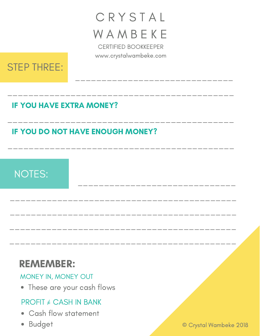# **CRYSTAL WAMBEKE**

CERTIFIED BOOKKEEPER www.crystalwambeke.com

\_\_\_\_\_\_\_\_\_\_\_\_\_\_\_\_\_\_\_\_\_\_\_\_\_\_\_\_\_\_\_\_\_\_\_\_\_\_\_\_\_\_\_

\_\_\_\_\_\_\_\_\_\_\_\_\_\_\_\_\_\_\_\_\_\_\_\_\_\_\_\_\_\_\_\_\_\_\_\_\_\_\_\_\_\_\_

\_\_\_\_\_\_\_\_\_\_\_\_\_\_\_\_\_\_\_\_\_\_\_\_\_\_\_\_\_\_\_\_\_\_\_\_\_\_\_\_\_\_\_

\_\_\_\_\_\_\_\_\_\_\_\_\_\_\_\_\_\_\_\_\_\_\_\_\_\_\_\_\_\_\_\_\_\_\_\_\_\_\_\_\_\_\_

\_\_\_\_\_\_\_\_\_\_\_\_\_\_\_\_\_\_\_\_\_\_\_\_\_\_\_\_\_\_

\_\_\_\_\_\_\_\_\_\_\_\_\_\_\_\_\_\_\_\_\_\_\_\_\_\_\_\_\_\_

\_\_\_\_\_\_\_\_\_\_\_\_\_\_\_\_\_\_\_\_\_\_\_\_\_\_\_\_\_\_\_\_\_\_\_\_\_\_\_\_\_\_\_

\_\_\_\_\_\_\_\_\_\_\_\_\_\_\_\_\_\_\_\_\_\_\_\_\_\_\_\_\_\_\_\_\_\_\_\_\_\_\_\_\_\_\_

\_\_\_\_\_\_\_\_\_\_\_\_\_\_\_\_\_\_\_\_\_\_\_\_\_\_\_\_\_\_\_\_\_\_\_\_\_\_\_\_\_\_\_



#### IF YOU HAVE EXTRA MONEY?

#### IF YOU DO NOT HAVE ENOUGH MONEY?

## NOTES:

## REMEMBER:

MONEY IN, MONEY OUT

These are your cash flows

#### $PROFIT \neq CASH IN BANK$

- Cash flow statement
- 

● Budget © Crystal Wambeke 2018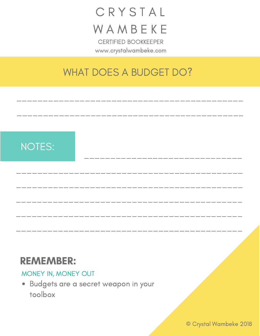# C R Y S T A L **WAMBEKE**

CERTIFIED BOOKKEEPER www.crystalwambeke.com

#### WHAT DOES A BUDGET DO?

\_\_\_\_\_\_\_\_\_\_\_\_\_\_\_\_\_\_\_\_\_\_\_\_\_\_\_\_\_\_\_\_\_\_\_\_\_\_\_\_\_\_\_

\_\_\_\_\_\_\_\_\_\_\_\_\_\_\_\_\_\_\_\_\_\_\_\_\_\_\_\_\_\_\_\_\_\_\_\_\_\_\_\_\_\_\_

\_\_\_\_\_\_\_\_\_\_\_\_\_\_\_\_\_\_\_\_\_\_\_\_\_\_\_\_\_\_\_\_\_\_\_\_\_\_\_\_\_\_\_

\_\_\_\_\_\_\_\_\_\_\_\_\_\_\_\_\_\_\_\_\_\_\_\_\_\_\_\_\_\_

\_\_\_\_\_\_\_\_\_\_\_\_\_\_\_\_\_\_\_\_\_\_\_\_\_\_\_\_\_\_\_\_\_\_\_\_\_\_\_\_\_\_\_

\_\_\_\_\_\_\_\_\_\_\_\_\_\_\_\_\_\_\_\_\_\_\_\_\_\_\_\_\_\_\_\_\_\_\_\_\_\_\_\_\_\_\_

\_\_\_\_\_\_\_\_\_\_\_\_\_\_\_\_\_\_\_\_\_\_\_\_\_\_\_\_\_\_\_\_\_\_\_\_\_\_\_\_\_\_\_

\_\_\_\_\_\_\_\_\_\_\_\_\_\_\_\_\_\_\_\_\_\_\_\_\_\_\_\_\_\_\_\_\_\_\_\_\_\_\_\_\_\_\_

## NOTES:

#### REMEMBER:

#### MONEY IN, MONEY OUT

Budgets are a secret weapon in your toolbox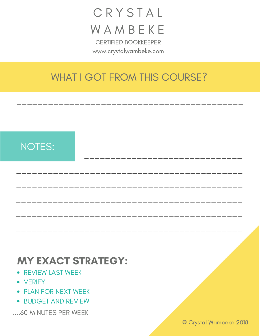## **C R Y S T A L WAMBEKE** CERTIFIED BOOKKEEPER

www.crystalwambeke.com

## WHAT I GOT FROM THIS COURSE?

\_\_\_\_\_\_\_\_\_\_\_\_\_\_\_\_\_\_\_\_\_\_\_\_\_\_\_\_\_\_\_\_\_\_\_\_\_\_\_\_\_\_\_

\_\_\_\_\_\_\_\_\_\_\_\_\_\_\_\_\_\_\_\_\_\_\_\_\_\_\_\_\_\_\_\_\_\_\_\_\_\_\_\_\_\_\_

\_\_\_\_\_\_\_\_\_\_\_\_\_\_\_\_\_\_\_\_\_\_\_\_\_\_\_\_\_\_\_\_\_\_\_\_\_\_\_\_\_\_\_

\_\_\_\_\_\_\_\_\_\_\_\_\_\_\_\_\_\_\_\_\_\_\_\_\_\_\_\_\_\_

\_\_\_\_\_\_\_\_\_\_\_\_\_\_\_\_\_\_\_\_\_\_\_\_\_\_\_\_\_\_\_\_\_\_\_\_\_\_\_\_\_\_\_

\_\_\_\_\_\_\_\_\_\_\_\_\_\_\_\_\_\_\_\_\_\_\_\_\_\_\_\_\_\_\_\_\_\_\_\_\_\_\_\_\_\_\_

\_\_\_\_\_\_\_\_\_\_\_\_\_\_\_\_\_\_\_\_\_\_\_\_\_\_\_\_\_\_\_\_\_\_\_\_\_\_\_\_\_\_\_

\_\_\_\_\_\_\_\_\_\_\_\_\_\_\_\_\_\_\_\_\_\_\_\_\_\_\_\_\_\_\_\_\_\_\_\_\_\_\_\_\_\_\_

## NOTES:

#### MY EXACT STRATEGY:

- **REVIEW LAST WEEK**
- VERIFY
- PLAN FOR NEXT WEEK
- **BUDGET AND REVIEW**
- ....60 MINUTES PER WEEK